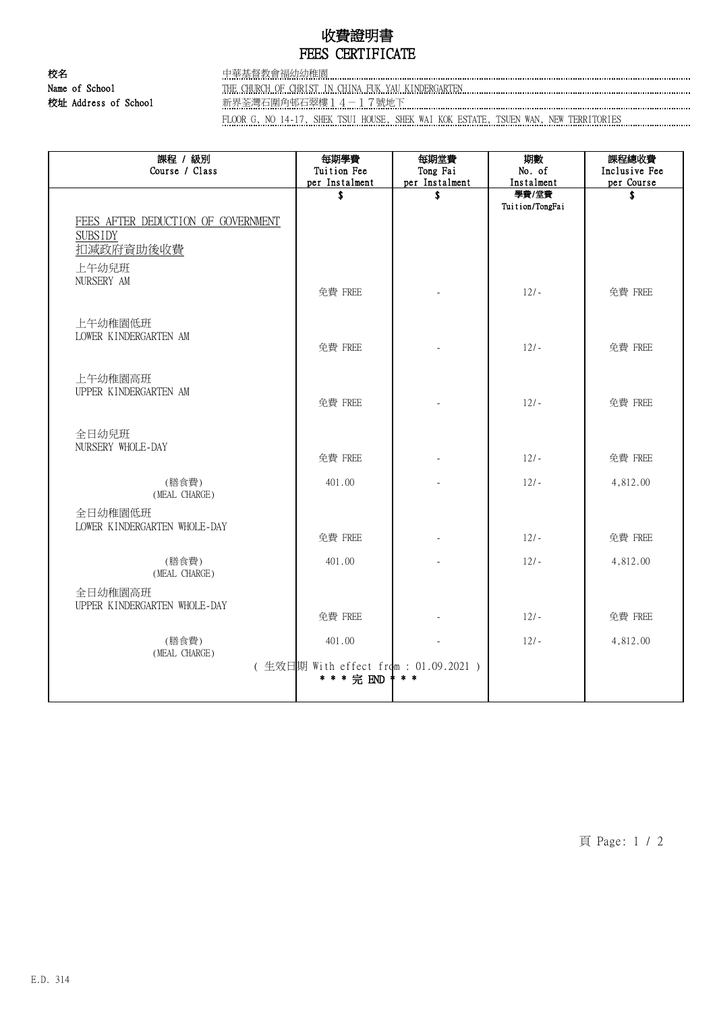## 收費證明書 FEES CERTIFICATE

校名 中華基督教會福幼幼稚園 Name of School THE CHURCH OF CHRIST IN CHINA FUK YAU KINDERGARTEN 校址 Address of School **we the School 和**界荃灣石圍角邨石翠樓14-17號地下

FLOOR G, NO 14-17, SHEK TSUI HOUSE, SHEK WAI KOK ESTATE, TSUEN WAN, NEW TERRITORIES

| 課程 / 級別<br>Course / Class                                         | 每期學費<br>Tuition Fee<br>per Instalment                         | 每期堂費<br>Tong Fai<br>per Instalment | 期數<br>No. of<br>Instalment | 課程總收費<br>Inclusive Fee<br>per Course |
|-------------------------------------------------------------------|---------------------------------------------------------------|------------------------------------|----------------------------|--------------------------------------|
| FEES AFTER DEDUCTION OF GOVERNMENT<br><b>SUBSIDY</b><br>扣减政府資助後收費 | \$                                                            | \$                                 | 學費/堂費<br>Tuition/TongFai   | \$                                   |
| 上午幼兒班<br>NURSERY AM                                               | 免費 FREE                                                       |                                    | $12/-$                     | 免費 FREE                              |
| 上午幼稚園低班<br>LOWER KINDERGARTEN AM                                  | 免費 FREE                                                       |                                    | $12/-$                     | 免費 FREE                              |
| 上午幼稚園高班<br>UPPER KINDERGARTEN AM                                  | 免費 FREE                                                       |                                    | $12/-$                     | 免費 FREE                              |
| 全日幼兒班<br>NURSERY WHOLE-DAY                                        | 免費 FREE                                                       |                                    | $12/-$                     | 免費 FREE                              |
| (膳食費)<br>(MEAL CHARGE)                                            | 401.00                                                        |                                    | $12/-$                     | 4,812.00                             |
| 全日幼稚園低班<br>LOWER KINDERGARTEN WHOLE-DAY                           | 免費 FREE                                                       |                                    | $12/-$                     | 免費 FREE                              |
| (膳食費)<br>(MEAL CHARGE)                                            | 401.00                                                        |                                    | $12/-$                     | 4,812.00                             |
| 全日幼稚園高班<br>UPPER KINDERGARTEN WHOLE-DAY                           | 免費 FREE                                                       |                                    | $12/-$                     | 免費 FREE                              |
| (膳食費)<br>(MEAL CHARGE)                                            | 401.00<br>(生效日期 With effect from : 01.09.2021)<br>* * * 完 END | * * *                              | $12/-$                     | 4,812.00                             |

頁 Page: 1 / 2